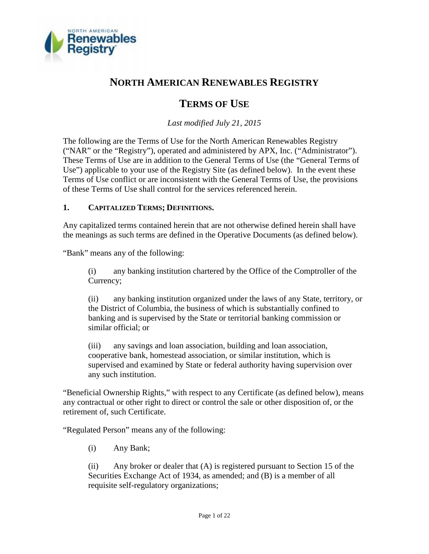

# **NORTH AMERICAN RENEWABLES REGISTRY**

# **TERMS OF USE**

*Last modified July 21, 2015*

The following are the Terms of Use for the North American Renewables Registry ("NAR" or the "Registry"), operated and administered by APX, Inc. ("Administrator"). These Terms of Use are in addition to the General Terms of Use (the "General Terms of Use") applicable to your use of the Registry Site (as defined below). In the event these Terms of Use conflict or are inconsistent with the General Terms of Use, the provisions of these Terms of Use shall control for the services referenced herein.

# **1. CAPITALIZED TERMS; DEFINITIONS.**

Any capitalized terms contained herein that are not otherwise defined herein shall have the meanings as such terms are defined in the Operative Documents (as defined below).

"Bank" means any of the following:

(i) any banking institution chartered by the Office of the Comptroller of the Currency;

(ii) any banking institution organized under the laws of any State, territory, or the District of Columbia, the business of which is substantially confined to banking and is supervised by the State or territorial banking commission or similar official; or

(iii) any savings and loan association, building and loan association, cooperative bank, homestead association, or similar institution, which is supervised and examined by State or federal authority having supervision over any such institution.

"Beneficial Ownership Rights," with respect to any Certificate (as defined below), means any contractual or other right to direct or control the sale or other disposition of, or the retirement of, such Certificate.

"Regulated Person" means any of the following:

(i) Any Bank;

(ii) Any broker or dealer that (A) is registered pursuant to Section 15 of the Securities Exchange Act of 1934, as amended; and (B) is a member of all requisite self-regulatory organizations;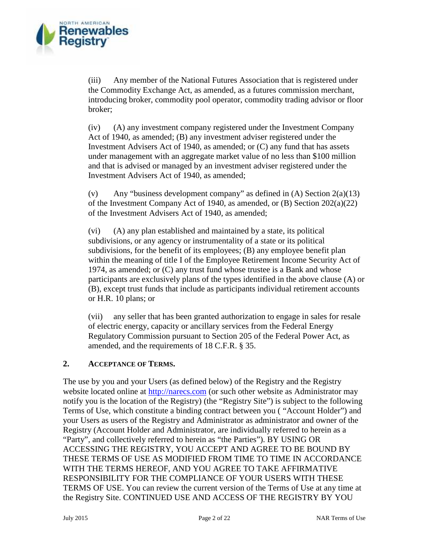

(iii) Any member of the National Futures Association that is registered under the Commodity Exchange Act, as amended, as a futures commission merchant, introducing broker, commodity pool operator, commodity trading advisor or floor broker;

(iv) (A) any investment company registered under the Investment Company Act of 1940, as amended; (B) any investment adviser registered under the Investment Advisers Act of 1940, as amended; or (C) any fund that has assets under management with an aggregate market value of no less than \$100 million and that is advised or managed by an investment adviser registered under the Investment Advisers Act of 1940, as amended;

(v) Any "business development company" as defined in  $(A)$  Section  $2(a)(13)$ of the Investment Company Act of 1940, as amended, or  $(B)$  Section 202 $(a)(22)$ of the Investment Advisers Act of 1940, as amended;

(vi) (A) any plan established and maintained by a state, its political subdivisions, or any agency or instrumentality of a state or its political subdivisions, for the benefit of its employees; (B) any employee benefit plan within the meaning of title I of the Employee Retirement Income Security Act of 1974, as amended; or (C) any trust fund whose trustee is a Bank and whose participants are exclusively plans of the types identified in the above clause (A) or (B), except trust funds that include as participants individual retirement accounts or H.R. 10 plans; or

(vii) any seller that has been granted authorization to engage in sales for resale of electric energy, capacity or ancillary services from the Federal Energy Regulatory Commission pursuant to Section 205 of the Federal Power Act, as amended, and the requirements of 18 C.F.R. § 35.

#### **2. ACCEPTANCE OF TERMS.**

The use by you and your Users (as defined below) of the Registry and the Registry website located online at http://narecs.com (or such other website as Administrator may notify you is the location of the Registry) (the "Registry Site") is subject to the following Terms of Use, which constitute a binding contract between you ( "Account Holder") and your Users as users of the Registry and Administrator as administrator and owner of the Registry (Account Holder and Administrator, are individually referred to herein as a "Party", and collectively referred to herein as "the Parties"). BY USING OR ACCESSING THE REGISTRY, YOU ACCEPT AND AGREE TO BE BOUND BY THESE TERMS OF USE AS MODIFIED FROM TIME TO TIME IN ACCORDANCE WITH THE TERMS HEREOF, AND YOU AGREE TO TAKE AFFIRMATIVE RESPONSIBILITY FOR THE COMPLIANCE OF YOUR USERS WITH THESE TERMS OF USE. You can review the current version of the Terms of Use at any time at the Registry Site. CONTINUED USE AND ACCESS OF THE REGISTRY BY YOU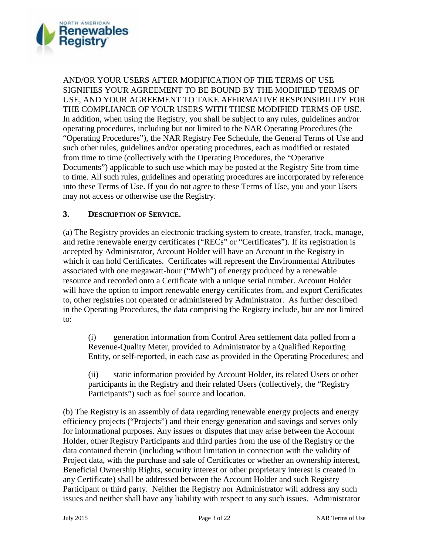

AND/OR YOUR USERS AFTER MODIFICATION OF THE TERMS OF USE SIGNIFIES YOUR AGREEMENT TO BE BOUND BY THE MODIFIED TERMS OF USE, AND YOUR AGREEMENT TO TAKE AFFIRMATIVE RESPONSIBILITY FOR THE COMPLIANCE OF YOUR USERS WITH THESE MODIFIED TERMS OF USE. In addition, when using the Registry, you shall be subject to any rules, guidelines and/or operating procedures, including but not limited to the NAR Operating Procedures (the "Operating Procedures"), the NAR Registry Fee Schedule, the General Terms of Use and such other rules, guidelines and/or operating procedures, each as modified or restated from time to time (collectively with the Operating Procedures, the "Operative Documents") applicable to such use which may be posted at the Registry Site from time to time. All such rules, guidelines and operating procedures are incorporated by reference into these Terms of Use. If you do not agree to these Terms of Use, you and your Users may not access or otherwise use the Registry.

## **3. DESCRIPTION OF SERVICE.**

(a) The Registry provides an electronic tracking system to create, transfer, track, manage, and retire renewable energy certificates ("RECs" or "Certificates"). If its registration is accepted by Administrator, Account Holder will have an Account in the Registry in which it can hold Certificates. Certificates will represent the Environmental Attributes associated with one megawatt-hour ("MWh") of energy produced by a renewable resource and recorded onto a Certificate with a unique serial number. Account Holder will have the option to import renewable energy certificates from, and export Certificates to, other registries not operated or administered by Administrator. As further described in the Operating Procedures, the data comprising the Registry include, but are not limited to:

(i) generation information from Control Area settlement data polled from a Revenue-Quality Meter, provided to Administrator by a Qualified Reporting Entity, or self-reported, in each case as provided in the Operating Procedures; and

(ii) static information provided by Account Holder, its related Users or other participants in the Registry and their related Users (collectively, the "Registry Participants") such as fuel source and location.

(b) The Registry is an assembly of data regarding renewable energy projects and energy efficiency projects ("Projects") and their energy generation and savings and serves only for informational purposes. Any issues or disputes that may arise between the Account Holder, other Registry Participants and third parties from the use of the Registry or the data contained therein (including without limitation in connection with the validity of Project data, with the purchase and sale of Certificates or whether an ownership interest, Beneficial Ownership Rights, security interest or other proprietary interest is created in any Certificate) shall be addressed between the Account Holder and such Registry Participant or third party. Neither the Registry nor Administrator will address any such issues and neither shall have any liability with respect to any such issues. Administrator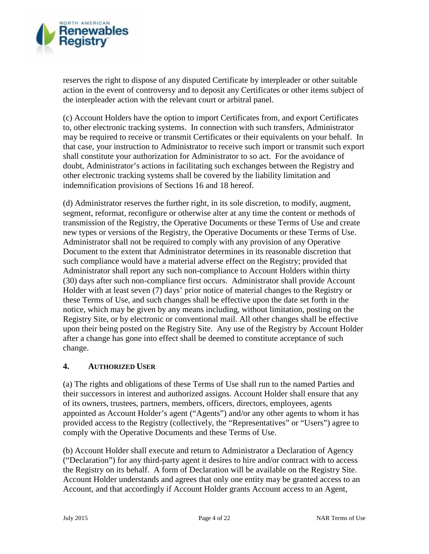

reserves the right to dispose of any disputed Certificate by interpleader or other suitable action in the event of controversy and to deposit any Certificates or other items subject of the interpleader action with the relevant court or arbitral panel.

(c) Account Holders have the option to import Certificates from, and export Certificates to, other electronic tracking systems. In connection with such transfers, Administrator may be required to receive or transmit Certificates or their equivalents on your behalf. In that case, your instruction to Administrator to receive such import or transmit such export shall constitute your authorization for Administrator to so act. For the avoidance of doubt, Administrator's actions in facilitating such exchanges between the Registry and other electronic tracking systems shall be covered by the liability limitation and indemnification provisions of Sections 16 and 18 hereof.

(d) Administrator reserves the further right, in its sole discretion, to modify, augment, segment, reformat, reconfigure or otherwise alter at any time the content or methods of transmission of the Registry, the Operative Documents or these Terms of Use and create new types or versions of the Registry, the Operative Documents or these Terms of Use. Administrator shall not be required to comply with any provision of any Operative Document to the extent that Administrator determines in its reasonable discretion that such compliance would have a material adverse effect on the Registry; provided that Administrator shall report any such non-compliance to Account Holders within thirty (30) days after such non-compliance first occurs. Administrator shall provide Account Holder with at least seven (7) days' prior notice of material changes to the Registry or these Terms of Use, and such changes shall be effective upon the date set forth in the notice, which may be given by any means including, without limitation, posting on the Registry Site, or by electronic or conventional mail. All other changes shall be effective upon their being posted on the Registry Site. Any use of the Registry by Account Holder after a change has gone into effect shall be deemed to constitute acceptance of such change.

#### **4. AUTHORIZED USER**

(a) The rights and obligations of these Terms of Use shall run to the named Parties and their successors in interest and authorized assigns. Account Holder shall ensure that any of its owners, trustees, partners, members, officers, directors, employees, agents appointed as Account Holder's agent ("Agents") and/or any other agents to whom it has provided access to the Registry (collectively, the "Representatives" or "Users") agree to comply with the Operative Documents and these Terms of Use.

(b) Account Holder shall execute and return to Administrator a Declaration of Agency ("Declaration") for any third-party agent it desires to hire and/or contract with to access the Registry on its behalf. A form of Declaration will be available on the Registry Site. Account Holder understands and agrees that only one entity may be granted access to an Account, and that accordingly if Account Holder grants Account access to an Agent,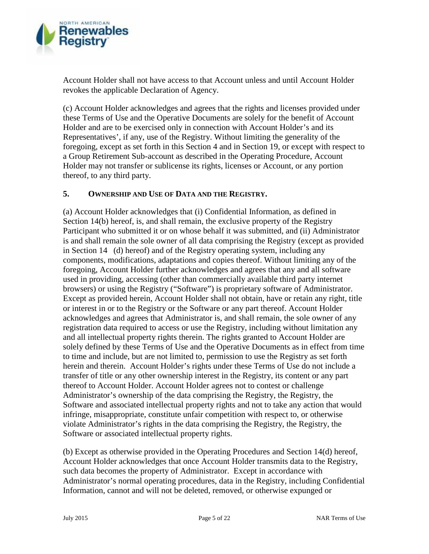

Account Holder shall not have access to that Account unless and until Account Holder revokes the applicable Declaration of Agency.

(c) Account Holder acknowledges and agrees that the rights and licenses provided under these Terms of Use and the Operative Documents are solely for the benefit of Account Holder and are to be exercised only in connection with Account Holder's and its Representatives', if any, use of the Registry. Without limiting the generality of the foregoing, except as set forth in this Section 4 and in Section 19, or except with respect to a Group Retirement Sub-account as described in the Operating Procedure, Account Holder may not transfer or sublicense its rights, licenses or Account, or any portion thereof, to any third party.

## **5. OWNERSHIP AND USE OF DATA AND THE REGISTRY.**

(a) Account Holder acknowledges that (i) Confidential Information, as defined in Section 14(b) hereof, is, and shall remain, the exclusive property of the Registry Participant who submitted it or on whose behalf it was submitted, and (ii) Administrator is and shall remain the sole owner of all data comprising the Registry (except as provided in Section 14 (d) hereof) and of the Registry operating system, including any components, modifications, adaptations and copies thereof. Without limiting any of the foregoing, Account Holder further acknowledges and agrees that any and all software used in providing, accessing (other than commercially available third party internet browsers) or using the Registry ("Software") is proprietary software of Administrator. Except as provided herein, Account Holder shall not obtain, have or retain any right, title or interest in or to the Registry or the Software or any part thereof. Account Holder acknowledges and agrees that Administrator is, and shall remain, the sole owner of any registration data required to access or use the Registry, including without limitation any and all intellectual property rights therein. The rights granted to Account Holder are solely defined by these Terms of Use and the Operative Documents as in effect from time to time and include, but are not limited to, permission to use the Registry as set forth herein and therein. Account Holder's rights under these Terms of Use do not include a transfer of title or any other ownership interest in the Registry, its content or any part thereof to Account Holder. Account Holder agrees not to contest or challenge Administrator's ownership of the data comprising the Registry, the Registry, the Software and associated intellectual property rights and not to take any action that would infringe, misappropriate, constitute unfair competition with respect to, or otherwise violate Administrator's rights in the data comprising the Registry, the Registry, the Software or associated intellectual property rights.

(b) Except as otherwise provided in the Operating Procedures and Section 14(d) hereof, Account Holder acknowledges that once Account Holder transmits data to the Registry, such data becomes the property of Administrator. Except in accordance with Administrator's normal operating procedures, data in the Registry, including Confidential Information, cannot and will not be deleted, removed, or otherwise expunged or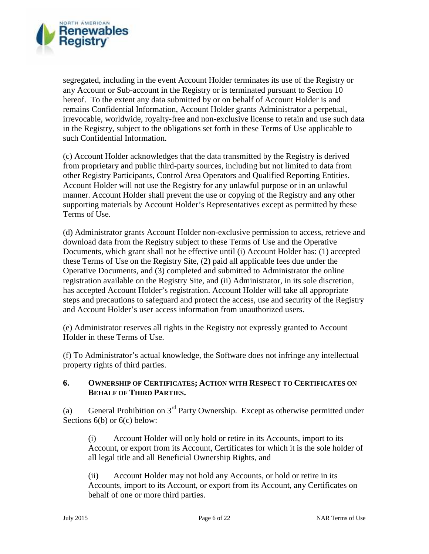

segregated, including in the event Account Holder terminates its use of the Registry or any Account or Sub-account in the Registry or is terminated pursuant to Section 10 hereof. To the extent any data submitted by or on behalf of Account Holder is and remains Confidential Information, Account Holder grants Administrator a perpetual, irrevocable, worldwide, royalty-free and non-exclusive license to retain and use such data in the Registry, subject to the obligations set forth in these Terms of Use applicable to such Confidential Information.

(c) Account Holder acknowledges that the data transmitted by the Registry is derived from proprietary and public third-party sources, including but not limited to data from other Registry Participants, Control Area Operators and Qualified Reporting Entities. Account Holder will not use the Registry for any unlawful purpose or in an unlawful manner. Account Holder shall prevent the use or copying of the Registry and any other supporting materials by Account Holder's Representatives except as permitted by these Terms of Use.

(d) Administrator grants Account Holder non-exclusive permission to access, retrieve and download data from the Registry subject to these Terms of Use and the Operative Documents, which grant shall not be effective until (i) Account Holder has: (1) accepted these Terms of Use on the Registry Site, (2) paid all applicable fees due under the Operative Documents, and (3) completed and submitted to Administrator the online registration available on the Registry Site, and (ii) Administrator, in its sole discretion, has accepted Account Holder's registration. Account Holder will take all appropriate steps and precautions to safeguard and protect the access, use and security of the Registry and Account Holder's user access information from unauthorized users.

(e) Administrator reserves all rights in the Registry not expressly granted to Account Holder in these Terms of Use.

(f) To Administrator's actual knowledge, the Software does not infringe any intellectual property rights of third parties.

## **6. OWNERSHIP OF CERTIFICATES; ACTION WITH RESPECT TO CERTIFICATES ON BEHALF OF THIRD PARTIES.**

(a) General Prohibition on  $3<sup>rd</sup>$  Party Ownership. Except as otherwise permitted under Sections 6(b) or 6(c) below:

(i) Account Holder will only hold or retire in its Accounts, import to its Account, or export from its Account, Certificates for which it is the sole holder of all legal title and all Beneficial Ownership Rights, and

(ii) Account Holder may not hold any Accounts, or hold or retire in its Accounts, import to its Account, or export from its Account, any Certificates on behalf of one or more third parties.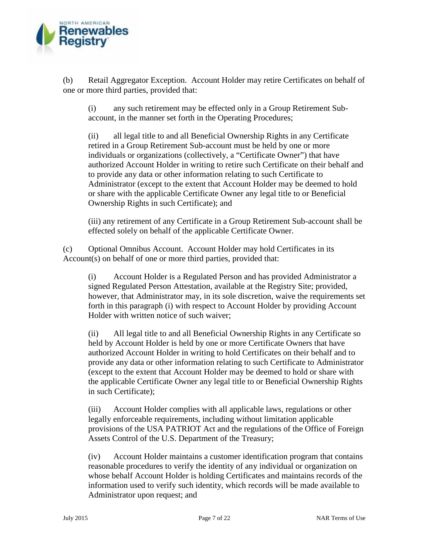

(b) Retail Aggregator Exception. Account Holder may retire Certificates on behalf of one or more third parties, provided that:

(i) any such retirement may be effected only in a Group Retirement Sub account, in the manner set forth in the Operating Procedures;

(ii) all legal title to and all Beneficial Ownership Rights in any Certificate retired in a Group Retirement Sub-account must be held by one or more individuals or organizations (collectively, a "Certificate Owner") that have authorized Account Holder in writing to retire such Certificate on their behalf and to provide any data or other information relating to such Certificate to Administrator (except to the extent that Account Holder may be deemed to hold or share with the applicable Certificate Owner any legal title to or Beneficial Ownership Rights in such Certificate); and

(iii) any retirement of any Certificate in a Group Retirement Sub-account shall be effected solely on behalf of the applicable Certificate Owner.

(c) Optional Omnibus Account. Account Holder may hold Certificates in its Account(s) on behalf of one or more third parties, provided that:

(i) Account Holder is a Regulated Person and has provided Administrator a signed Regulated Person Attestation, available at the Registry Site; provided, however, that Administrator may, in its sole discretion, waive the requirements set forth in this paragraph (i) with respect to Account Holder by providing Account Holder with written notice of such waiver;

(ii) All legal title to and all Beneficial Ownership Rights in any Certificate so held by Account Holder is held by one or more Certificate Owners that have authorized Account Holder in writing to hold Certificates on their behalf and to provide any data or other information relating to such Certificate to Administrator (except to the extent that Account Holder may be deemed to hold or share with the applicable Certificate Owner any legal title to or Beneficial Ownership Rights in such Certificate);

(iii) Account Holder complies with all applicable laws, regulations or other legally enforceable requirements, including without limitation applicable provisions of the USA PATRIOT Act and the regulations of the Office of Foreign Assets Control of the U.S. Department of the Treasury;

(iv) Account Holder maintains a customer identification program that contains reasonable procedures to verify the identity of any individual or organization on whose behalf Account Holder is holding Certificates and maintains records of the information used to verify such identity, which records will be made available to Administrator upon request; and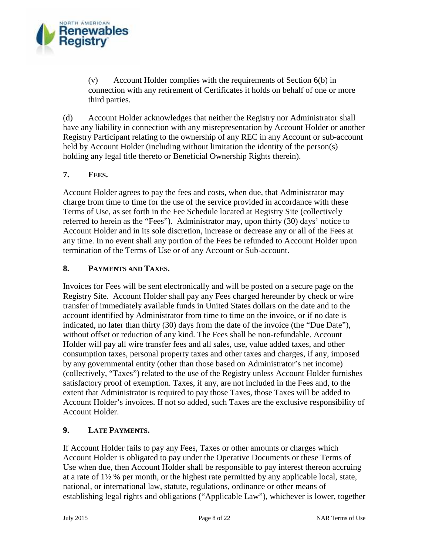

(v) Account Holder complies with the requirements of Section 6(b) in connection with any retirement of Certificates it holds on behalf of one or more third parties.

(d) Account Holder acknowledges that neither the Registry nor Administrator shall have any liability in connection with any misrepresentation by Account Holder or another Registry Participant relating to the ownership of any REC in any Account or sub-account held by Account Holder (including without limitation the identity of the person(s) holding any legal title thereto or Beneficial Ownership Rights therein).

# **7. FEES.**

Account Holder agrees to pay the fees and costs, when due, that Administrator may charge from time to time for the use of the service provided in accordance with these Terms of Use, as set forth in the Fee Schedule located at Registry Site (collectively referred to herein as the "Fees"). Administrator may, upon thirty (30) days' notice to Account Holder and in its sole discretion, increase or decrease any or all of the Fees at any time. In no event shall any portion of the Fees be refunded to Account Holder upon termination of the Terms of Use or of any Account or Sub-account.

## **8. PAYMENTS AND TAXES.**

Invoices for Fees will be sent electronically and will be posted on a secure page on the Registry Site. Account Holder shall pay any Fees charged hereunder by check or wire transfer of immediately available funds in United States dollars on the date and to the account identified by Administrator from time to time on the invoice, or if no date is indicated, no later than thirty (30) days from the date of the invoice (the "Due Date"), without offset or reduction of any kind. The Fees shall be non-refundable. Account Holder will pay all wire transfer fees and all sales, use, value added taxes, and other consumption taxes, personal property taxes and other taxes and charges, if any, imposed by any governmental entity (other than those based on Administrator's net income) (collectively, "Taxes") related to the use of the Registry unless Account Holder furnishes satisfactory proof of exemption. Taxes, if any, are not included in the Fees and, to the extent that Administrator is required to pay those Taxes, those Taxes will be added to Account Holder's invoices. If not so added, such Taxes are the exclusive responsibility of Account Holder.

# **9. LATE PAYMENTS.**

If Account Holder fails to pay any Fees, Taxes or other amounts or charges which Account Holder is obligated to pay under the Operative Documents or these Terms of Use when due, then Account Holder shall be responsible to pay interest thereon accruing at a rate of 1½ % per month, or the highest rate permitted by any applicable local, state, national, or international law, statute, regulations, ordinance or other means of establishing legal rights and obligations ("Applicable Law"), whichever is lower, together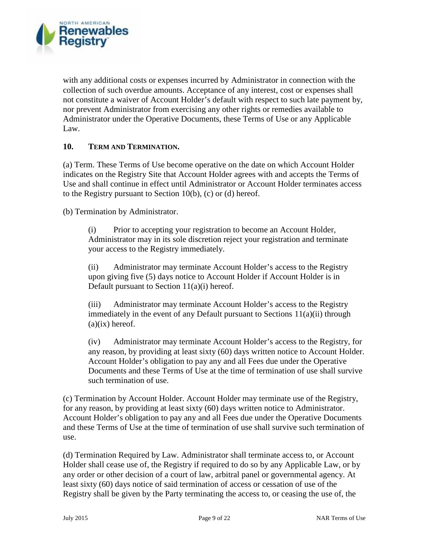

with any additional costs or expenses incurred by Administrator in connection with the collection of such overdue amounts. Acceptance of any interest, cost or expenses shall not constitute a waiver of Account Holder's default with respect to such late payment by, nor prevent Administrator from exercising any other rights or remedies available to Administrator under the Operative Documents, these Terms of Use or any Applicable Law.

#### **10. TERM AND TERMINATION.**

(a) Term. These Terms of Use become operative on the date on which Account Holder indicates on the Registry Site that Account Holder agrees with and accepts the Terms of Use and shall continue in effect until Administrator or Account Holder terminates access to the Registry pursuant to Section 10(b), (c) or (d) hereof.

(b) Termination by Administrator.

(i) Prior to accepting your registration to become an Account Holder, Administrator may in its sole discretion reject your registration and terminate your access to the Registry immediately.

(ii) Administrator may terminate Account Holder's access to the Registry upon giving five (5) days notice to Account Holder if Account Holder is in Default pursuant to Section 11(a)(i) hereof.

(iii) Administrator may terminate Account Holder's access to the Registry immediately in the event of any Default pursuant to Sections 11(a)(ii) through  $(a)(ix)$  hereof.

(iv) Administrator may terminate Account Holder's access to the Registry, for any reason, by providing at least sixty (60) days written notice to Account Holder. Account Holder's obligation to pay any and all Fees due under the Operative Documents and these Terms of Use at the time of termination of use shall survive such termination of use.

(c) Termination by Account Holder. Account Holder may terminate use of the Registry, for any reason, by providing at least sixty (60) days written notice to Administrator. Account Holder's obligation to pay any and all Fees due under the Operative Documents and these Terms of Use at the time of termination of use shall survive such termination of use.

(d) Termination Required by Law. Administrator shall terminate access to, or Account Holder shall cease use of, the Registry if required to do so by any Applicable Law, or by any order or other decision of a court of law, arbitral panel or governmental agency. At least sixty (60) days notice of said termination of access or cessation of use of the Registry shall be given by the Party terminating the access to, or ceasing the use of, the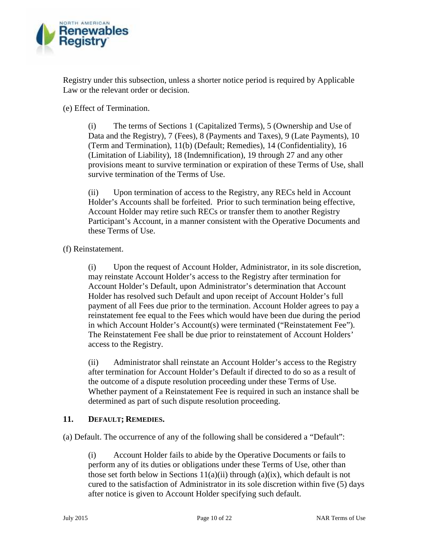

Registry under this subsection, unless a shorter notice period is required by Applicable Law or the relevant order or decision.

(e) Effect of Termination.

(i) The terms of Sections 1 (Capitalized Terms), 5 (Ownership and Use of Data and the Registry), 7 (Fees), 8 (Payments and Taxes), 9 (Late Payments), 10 (Term and Termination), 11(b) (Default; Remedies), 14 (Confidentiality), 16 (Limitation of Liability), 18 (Indemnification), 19 through 27 and any other provisions meant to survive termination or expiration of these Terms of Use, shall survive termination of the Terms of Use.

(ii) Upon termination of access to the Registry, any RECs held in Account Holder's Accounts shall be forfeited. Prior to such termination being effective, Account Holder may retire such RECs or transfer them to another Registry Participant's Account, in a manner consistent with the Operative Documents and these Terms of Use.

(f) Reinstatement.

(i) Upon the request of Account Holder, Administrator, in its sole discretion, may reinstate Account Holder's access to the Registry after termination for Account Holder's Default, upon Administrator's determination that Account Holder has resolved such Default and upon receipt of Account Holder's full payment of all Fees due prior to the termination. Account Holder agrees to pay a reinstatement fee equal to the Fees which would have been due during the period in which Account Holder's Account(s) were terminated ("Reinstatement Fee"). The Reinstatement Fee shall be due prior to reinstatement of Account Holders' access to the Registry.

(ii) Administrator shall reinstate an Account Holder's access to the Registry after termination for Account Holder's Default if directed to do so as a result of the outcome of a dispute resolution proceeding under these Terms of Use. Whether payment of a Reinstatement Fee is required in such an instance shall be determined as part of such dispute resolution proceeding.

# **11. DEFAULT; REMEDIES.**

(a) Default. The occurrence of any of the following shall be considered a "Default":

(i) Account Holder fails to abide by the Operative Documents or fails to perform any of its duties or obligations under these Terms of Use, other than those set forth below in Sections  $11(a)(ii)$  through  $(a)(ix)$ , which default is not cured to the satisfaction of Administrator in its sole discretion within five (5) days after notice is given to Account Holder specifying such default.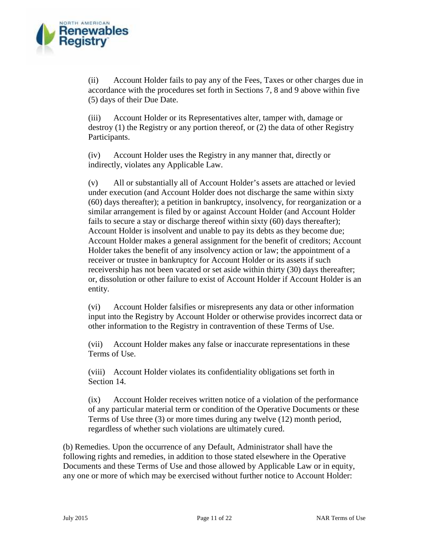

(ii) Account Holder fails to pay any of the Fees, Taxes or other charges due in accordance with the procedures set forth in Sections 7,8 and 9 above within five (5) days of their Due Date.

(iii) Account Holder or its Representatives alter, tamper with, damage or destroy (1) the Registry or any portion thereof, or (2) the data of other Registry Participants.

(iv) Account Holder uses the Registry in any manner that, directly or indirectly, violates any Applicable Law.

(v) All or substantially all of Account Holder's assets are attached or levied under execution (and Account Holder does not discharge the same within sixty (60) days thereafter); a petition in bankruptcy, insolvency, for reorganization or a similar arrangement is filed by or against Account Holder (and Account Holder fails to secure a stay or discharge thereof within sixty (60) days thereafter); Account Holder is insolvent and unable to pay its debts as they become due; Account Holder makes a general assignment for the benefit of creditors; Account Holder takes the benefit of any insolvency action or law; the appointment of a receiver or trustee in bankruptcy for Account Holder or its assets if such receivership has not been vacated or set aside within thirty (30) days thereafter; or, dissolution or other failure to exist of Account Holder if Account Holder is an entity.

(vi) Account Holder falsifies or misrepresents any data or other information input into the Registry by Account Holder or otherwise provides incorrect data or other information to the Registry in contravention of these Terms of Use.

(vii) Account Holder makes any false or inaccurate representations in these Terms of Use.

(viii) Account Holder violates its confidentiality obligations set forth in Section 14.

(ix) Account Holder receives written notice of a violation of the performance of any particular material term or condition of the Operative Documents or these Terms of Use three (3) or more times during any twelve (12) month period, regardless of whether such violations are ultimately cured.

(b) Remedies. Upon the occurrence of any Default, Administrator shall have the following rights and remedies, in addition to those stated elsewhere in the Operative Documents and these Terms of Use and those allowed by Applicable Law or in equity, any one or more of which may be exercised without further notice to Account Holder: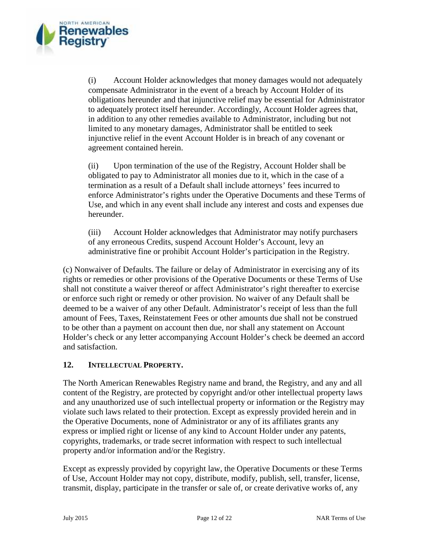

(i) Account Holder acknowledges that money damages would not adequately compensate Administrator in the event of a breach by Account Holder of its obligations hereunder and that injunctive relief may be essential for Administrator to adequately protect itself hereunder. Accordingly, Account Holder agrees that, in addition to any other remedies available to Administrator, including but not limited to any monetary damages, Administrator shall be entitled to seek injunctive relief in the event Account Holder is in breach of any covenant or agreement contained herein.

(ii) Upon termination of the use of the Registry, Account Holder shall be obligated to pay to Administrator all monies due to it, which in the case of a termination as a result of a Default shall include attorneys' fees incurred to enforce Administrator's rights under the Operative Documents and these Terms of Use, and which in any event shall include any interest and costs and expenses due hereunder.

(iii) Account Holder acknowledges that Administrator may notify purchasers of any erroneous Credits, suspend Account Holder's Account, levy an administrative fine or prohibit Account Holder's participation in the Registry.

(c) Nonwaiver of Defaults. The failure or delay of Administrator in exercising any of its rights or remedies or other provisions of the Operative Documents or these Terms of Use shall not constitute a waiver thereof or affect Administrator's right thereafter to exercise or enforce such right or remedy or other provision. No waiver of any Default shall be deemed to be a waiver of any other Default. Administrator's receipt of less than the full amount of Fees, Taxes, Reinstatement Fees or other amounts due shall not be construed to be other than a payment on account then due, nor shall any statement on Account Holder's check or any letter accompanying Account Holder's check be deemed an accord and satisfaction.

# **12. INTELLECTUAL PROPERTY.**

The North American Renewables Registry name and brand, the Registry, and any and all content of the Registry, are protected by copyright and/or other intellectual property laws and any unauthorized use of such intellectual property or information or the Registry may violate such laws related to their protection. Except as expressly provided herein and in the Operative Documents, none of Administrator or any of its affiliates grants any express or implied right or license of any kind to Account Holder under any patents, copyrights, trademarks, or trade secret information with respect to such intellectual property and/or information and/or the Registry.

Except as expressly provided by copyright law, the Operative Documents or these Terms of Use, Account Holder may not copy, distribute, modify, publish, sell, transfer, license, transmit, display, participate in the transfer or sale of, or create derivative works of, any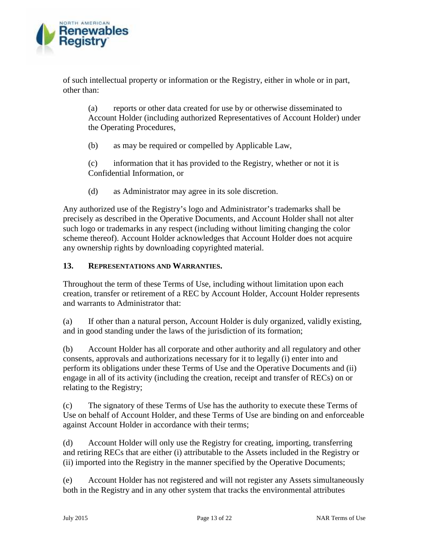

of such intellectual property or information or the Registry, either in whole or in part, other than:

(a) reports or other data created for use by or otherwise disseminated to Account Holder (including authorized Representatives of Account Holder) under the Operating Procedures,

(b) as may be required or compelled by Applicable Law,

(c) information that it has provided to the Registry, whether or not it is Confidential Information, or

(d) as Administrator may agree in its sole discretion.

Any authorized use of the Registry's logo and Administrator's trademarks shall be precisely as described in the Operative Documents, and Account Holder shall not alter such logo or trademarks in any respect (including without limiting changing the color scheme thereof). Account Holder acknowledges that Account Holder does not acquire any ownership rights by downloading copyrighted material.

# **13. REPRESENTATIONS AND WARRANTIES.**

Throughout the term of these Terms of Use, including without limitation upon each creation, transfer or retirement of a REC by Account Holder, Account Holder represents and warrants to Administrator that:

(a) If other than a natural person, Account Holder is duly organized, validly existing, and in good standing under the laws of the jurisdiction of its formation;

(b) Account Holder has all corporate and other authority and all regulatory and other consents, approvals and authorizations necessary for it to legally (i) enter into and perform its obligations under these Terms of Use and the Operative Documents and (ii) engage in all of its activity (including the creation, receipt and transfer of RECs) on or relating to the Registry;

(c) The signatory of these Terms of Use has the authority to execute these Terms of Use on behalf of Account Holder, and these Terms of Use are binding on and enforceable against Account Holder in accordance with their terms;

(d) Account Holder will only use the Registry for creating, importing, transferring and retiring RECs that are either (i) attributable to the Assets included in the Registry or (ii) imported into the Registry in the manner specified by the Operative Documents;

(e) Account Holder has not registered and will not register any Assets simultaneously both in the Registry and in any other system that tracks the environmental attributes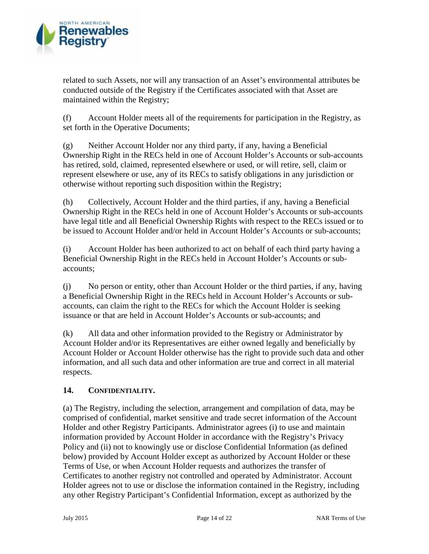

related to such Assets, nor will any transaction of an Asset's environmental attributes be conducted outside of the Registry if the Certificates associated with that Asset are maintained within the Registry;

(f) Account Holder meets all of the requirements for participation in the Registry, as set forth in the Operative Documents;

(g) Neither Account Holder nor any third party, if any, having a Beneficial Ownership Right in the RECs held in one of Account Holder's Accounts or sub-accounts has retired, sold, claimed, represented elsewhere or used, or will retire, sell, claim or represent elsewhere or use, any of its RECs to satisfy obligations in any jurisdiction or otherwise without reporting such disposition within the Registry;

(h) Collectively, Account Holder and the third parties, if any, having a Beneficial Ownership Right in the RECs held in one of Account Holder's Accounts or sub-accounts have legal title and all Beneficial Ownership Rights with respect to the RECs issued or to be issued to Account Holder and/or held in Account Holder's Accounts or sub-accounts;

(i) Account Holder has been authorized to act on behalf of each third party having a Beneficial Ownership Right in the RECs held in Account Holder's Accounts or sub accounts;

(j) No person or entity, other than Account Holder or the third parties, if any, having a Beneficial Ownership Right in the RECs held in Account Holder's Accounts or sub accounts, can claim the right to the RECs for which the Account Holder is seeking issuance or that are held in Account Holder's Accounts or sub-accounts; and

(k) All data and other information provided to the Registry or Administrator by Account Holder and/or its Representatives are either owned legally and beneficially by Account Holder or Account Holder otherwise has the right to provide such data and other information, and all such data and other information are true and correct in all material respects.

# **14. CONFIDENTIALITY.**

(a) The Registry, including the selection, arrangement and compilation of data, may be comprised of confidential, market sensitive and trade secret information of the Account Holder and other Registry Participants. Administrator agrees (i) to use and maintain information provided by Account Holder in accordance with the Registry's Privacy Policy and (ii) not to knowingly use or disclose Confidential Information (as defined below) provided by Account Holder except as authorized by Account Holder or these Terms of Use, or when Account Holder requests and authorizes the transfer of Certificates to another registry not controlled and operated by Administrator. Account Holder agrees not to use or disclose the information contained in the Registry, including any other Registry Participant's Confidential Information, except as authorized by the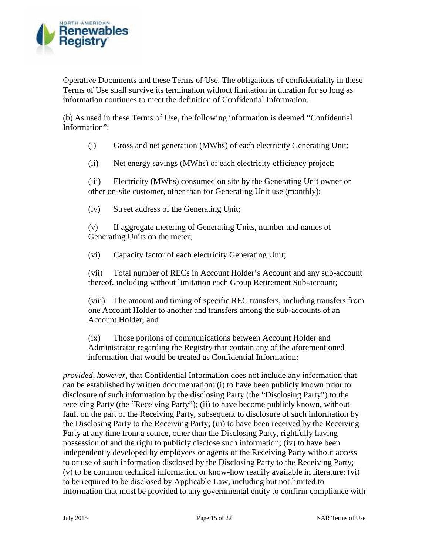

Operative Documents and these Terms of Use. The obligations of confidentiality in these Terms of Use shall survive its termination without limitation in duration for so long as information continues to meet the definition of Confidential Information.

(b) As used in these Terms of Use, the following information is deemed "Confidential Information":

(i) Gross and net generation (MWhs) of each electricity Generating Unit;

(ii) Net energy savings (MWhs) of each electricity efficiency project;

(iii) Electricity (MWhs) consumed on site by the Generating Unit owner or other on-site customer, other than for Generating Unit use (monthly);

(iv) Street address of the Generating Unit;

(v) If aggregate metering of Generating Units, number and names of Generating Units on the meter;

(vi) Capacity factor of each electricity Generating Unit;

(vii) Total number of RECs in Account Holder's Account and any sub-account thereof, including without limitation each Group Retirement Sub-account;

(viii) The amount and timing of specific REC transfers, including transfers from one Account Holder to another and transfers among the sub-accounts of an Account Holder; and

(ix) Those portions of communications between Account Holder and Administrator regarding the Registry that contain any of the aforementioned information that would be treated as Confidential Information;

*provided, however*, that Confidential Information does not include any information that can be established by written documentation: (i) to have been publicly known prior to disclosure of such information by the disclosing Party (the "Disclosing Party") to the receiving Party (the "Receiving Party"); (ii) to have become publicly known, without fault on the part of the Receiving Party, subsequent to disclosure of such information by the Disclosing Party to the Receiving Party; (iii) to have been received by the Receiving Party at any time from a source, other than the Disclosing Party, rightfully having possession of and the right to publicly disclose such information; (iv) to have been independently developed by employees or agents of the Receiving Party without access to or use of such information disclosed by the Disclosing Party to the Receiving Party; (v) to be common technical information or know-how readily available in literature; (vi) to be required to be disclosed by Applicable Law, including but not limited to information that must be provided to any governmental entity to confirm compliance with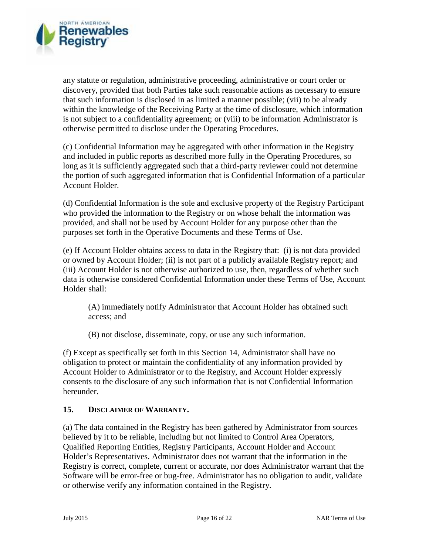

any statute or regulation, administrative proceeding, administrative or court order or discovery, provided that both Parties take such reasonable actions as necessary to ensure that such information is disclosed in as limited a manner possible; (vii) to be already within the knowledge of the Receiving Party at the time of disclosure, which information is not subject to a confidentiality agreement; or (viii) to be information Administrator is otherwise permitted to disclose under the Operating Procedures.

(c) Confidential Information may be aggregated with other information in the Registry and included in public reports as described more fully in the Operating Procedures, so long as it is sufficiently aggregated such that a third-party reviewer could not determine the portion of such aggregated information that is Confidential Information of a particular Account Holder.

(d) Confidential Information is the sole and exclusive property of the Registry Participant who provided the information to the Registry or on whose behalf the information was provided, and shall not be used by Account Holder for any purpose other than the purposes set forth in the Operative Documents and these Terms of Use.

(e) If Account Holder obtains access to data in the Registry that: (i) is not data provided or owned by Account Holder; (ii) is not part of a publicly available Registry report; and (iii) Account Holder is not otherwise authorized to use, then, regardless of whether such data is otherwise considered Confidential Information under these Terms of Use, Account Holder shall:

(A) immediately notify Administrator that Account Holder has obtained such access; and

(B) not disclose, disseminate, copy, or use any such information.

(f) Except as specifically set forth in this Section 14, Administrator shall have no obligation to protect or maintain the confidentiality of any information provided by Account Holder to Administrator or to the Registry, and Account Holder expressly consents to the disclosure of any such information that is not Confidential Information hereunder.

# **15. DISCLAIMER OF WARRANTY.**

(a) The data contained in the Registry has been gathered by Administrator from sources believed by it to be reliable, including but not limited to Control Area Operators, Qualified Reporting Entities, Registry Participants, Account Holder and Account Holder's Representatives. Administrator does not warrant that the information in the Registry is correct, complete, current or accurate, nor does Administrator warrant that the Software will be error-free or bug-free. Administrator has no obligation to audit, validate or otherwise verify any information contained in the Registry.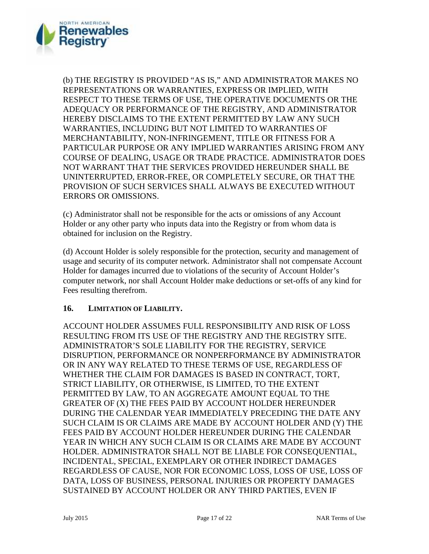

(b) THE REGISTRY IS PROVIDED "AS IS," AND ADMINISTRATOR MAKES NO REPRESENTATIONS OR WARRANTIES, EXPRESS OR IMPLIED, WITH RESPECT TO THESE TERMS OF USE, THE OPERATIVE DOCUMENTS OR THE ADEQUACY OR PERFORMANCE OF THE REGISTRY, AND ADMINISTRATOR HEREBY DISCLAIMS TO THE EXTENT PERMITTED BY LAW ANY SUCH WARRANTIES, INCLUDING BUT NOT LIMITED TO WARRANTIES OF MERCHANTABILITY, NON-INFRINGEMENT, TITLE OR FITNESS FOR A PARTICULAR PURPOSE OR ANY IMPLIED WARRANTIES ARISING FROM ANY COURSE OF DEALING, USAGE OR TRADE PRACTICE. ADMINISTRATOR DOES NOT WARRANT THAT THE SERVICES PROVIDED HEREUNDER SHALL BE UNINTERRUPTED, ERROR-FREE, OR COMPLETELY SECURE, OR THAT THE PROVISION OF SUCH SERVICES SHALL ALWAYS BE EXECUTED WITHOUT ERRORS OR OMISSIONS.

(c) Administrator shall not be responsible for the acts or omissions of any Account Holder or any other party who inputs data into the Registry or from whom data is obtained for inclusion on the Registry.

(d) Account Holder is solely responsible for the protection, security and management of usage and security of its computer network. Administrator shall not compensate Account Holder for damages incurred due to violations of the security of Account Holder's computer network, nor shall Account Holder make deductions or set-offs of any kind for Fees resulting therefrom.

#### **16. LIMITATION OF LIABILITY.**

ACCOUNT HOLDER ASSUMES FULL RESPONSIBILITY AND RISK OF LOSS RESULTING FROM ITS USE OF THE REGISTRY AND THE REGISTRY SITE. ADMINISTRATOR'S SOLE LIABILITY FOR THE REGISTRY, SERVICE DISRUPTION, PERFORMANCE OR NONPERFORMANCE BY ADMINISTRATOR OR IN ANY WAY RELATED TO THESE TERMS OF USE, REGARDLESS OF WHETHER THE CLAIM FOR DAMAGES IS BASED IN CONTRACT, TORT, STRICT LIABILITY, OR OTHERWISE, IS LIMITED, TO THE EXTENT PERMITTED BY LAW, TO AN AGGREGATE AMOUNT EQUAL TO THE GREATER OF (X) THE FEES PAID BY ACCOUNT HOLDER HEREUNDER DURING THE CALENDAR YEAR IMMEDIATELY PRECEDING THE DATE ANY SUCH CLAIM IS OR CLAIMS ARE MADE BY ACCOUNT HOLDER AND (Y) THE FEES PAID BY ACCOUNT HOLDER HEREUNDER DURING THE CALENDAR YEAR IN WHICH ANY SUCH CLAIM IS OR CLAIMS ARE MADE BY ACCOUNT HOLDER. ADMINISTRATOR SHALL NOT BE LIABLE FOR CONSEQUENTIAL, INCIDENTAL, SPECIAL, EXEMPLARY OR OTHER INDIRECT DAMAGES REGARDLESS OF CAUSE, NOR FOR ECONOMIC LOSS, LOSS OF USE, LOSS OF DATA, LOSS OF BUSINESS, PERSONAL INJURIES OR PROPERTY DAMAGES SUSTAINED BY ACCOUNT HOLDER OR ANY THIRD PARTIES, EVEN IF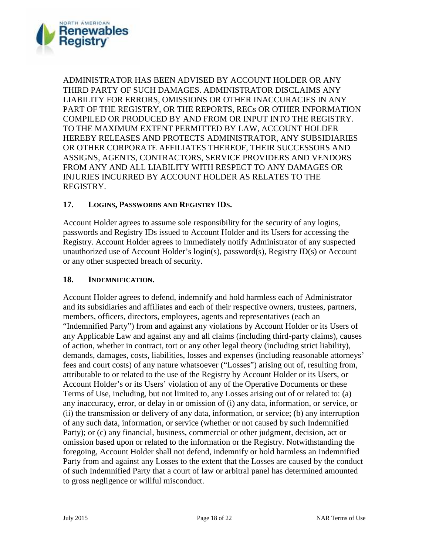

ADMINISTRATOR HAS BEEN ADVISED BY ACCOUNT HOLDER OR ANY THIRD PARTY OF SUCH DAMAGES. ADMINISTRATOR DISCLAIMS ANY LIABILITY FOR ERRORS, OMISSIONS OR OTHER INACCURACIES IN ANY PART OF THE REGISTRY, OR THE REPORTS, RECs OR OTHER INFORMATION COMPILED OR PRODUCED BY AND FROM OR INPUT INTO THE REGISTRY. TO THE MAXIMUM EXTENT PERMITTED BY LAW, ACCOUNT HOLDER HEREBY RELEASES AND PROTECTS ADMINISTRATOR, ANY SUBSIDIARIES OR OTHER CORPORATE AFFILIATES THEREOF, THEIR SUCCESSORS AND ASSIGNS, AGENTS, CONTRACTORS, SERVICE PROVIDERS AND VENDORS FROM ANY AND ALL LIABILITY WITH RESPECT TO ANY DAMAGES OR INJURIES INCURRED BY ACCOUNT HOLDER AS RELATES TO THE REGISTRY.

#### **17. LOGINS, PASSWORDS AND REGISTRY IDS.**

Account Holder agrees to assume sole responsibility for the security of any logins, passwords and Registry IDs issued to Account Holder and its Users for accessing the Registry. Account Holder agrees to immediately notify Administrator of any suspected unauthorized use of Account Holder's login(s), password(s), Registry ID(s) or Account or any other suspected breach of security.

#### **18. INDEMNIFICATION.**

Account Holder agrees to defend, indemnify and hold harmless each of Administrator and its subsidiaries and affiliates and each of their respective owners, trustees, partners, members, officers, directors, employees, agents and representatives (each an "Indemnified Party") from and against any violations by Account Holder or its Users of any Applicable Law and against any and all claims (including third-party claims), causes of action, whether in contract, tort or any other legal theory (including strict liability), demands, damages, costs, liabilities, losses and expenses (including reasonable attorneys' fees and court costs) of any nature whatsoever ("Losses") arising out of, resulting from, attributable to or related to the use of the Registry by Account Holder or its Users, or Account Holder's or its Users' violation of any of the Operative Documents or these Terms of Use, including, but not limited to, any Losses arising out of or related to: (a) any inaccuracy, error, or delay in or omission of (i) any data, information, or service, or (ii) the transmission or delivery of any data, information, or service; (b) any interruption of any such data, information, or service (whether or not caused by such Indemnified Party); or (c) any financial, business, commercial or other judgment, decision, act or omission based upon or related to the information or the Registry. Notwithstanding the foregoing, Account Holder shall not defend, indemnify or hold harmless an Indemnified Party from and against any Losses to the extent that the Losses are caused by the conduct of such Indemnified Party that a court of law or arbitral panel has determined amounted to gross negligence or willful misconduct.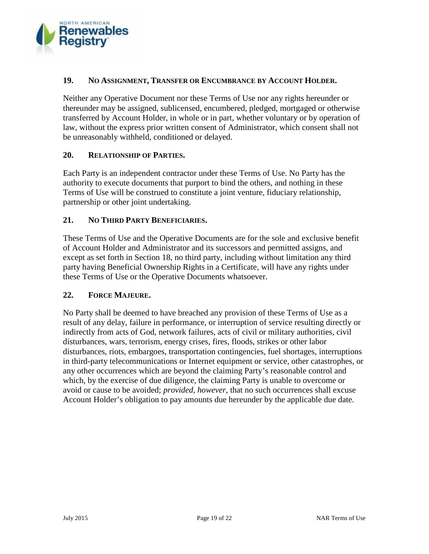

#### **19. NO ASSIGNMENT, TRANSFER OR ENCUMBRANCE BY ACCOUNT HOLDER.**

Neither any Operative Document nor these Terms of Use nor any rights hereunder or thereunder may be assigned, sublicensed, encumbered, pledged, mortgaged or otherwise transferred by Account Holder, in whole or in part, whether voluntary or by operation of law, without the express prior written consent of Administrator, which consent shall not be unreasonably withheld, conditioned or delayed.

#### **20. RELATIONSHIP OF PARTIES.**

Each Party is an independent contractor under these Terms of Use. No Party has the authority to execute documents that purport to bind the others, and nothing in these Terms of Use will be construed to constitute a joint venture, fiduciary relationship, partnership or other joint undertaking.

## **21. NO THIRD PARTY BENEFICIARIES.**

These Terms of Use and the Operative Documents are for the sole and exclusive benefit of Account Holder and Administrator and its successors and permitted assigns, and except as set forth in Section 18, no third party, including without limitation any third party having Beneficial Ownership Rights in a Certificate, will have any rights under these Terms of Use or the Operative Documents whatsoever.

#### **22. FORCE MAJEURE.**

No Party shall be deemed to have breached any provision of these Terms of Use as a result of any delay, failure in performance, or interruption of service resulting directly or indirectly from acts of God, network failures, acts of civil or military authorities, civil disturbances, wars, terrorism, energy crises, fires, floods, strikes or other labor disturbances, riots, embargoes, transportation contingencies, fuel shortages, interruptions in third-party telecommunications or Internet equipment or service, other catastrophes, or any other occurrences which are beyond the claiming Party's reasonable control and which, by the exercise of due diligence, the claiming Party is unable to overcome or avoid or cause to be avoided; *provided, however*, that no such occurrences shall excuse Account Holder's obligation to pay amounts due hereunder by the applicable due date.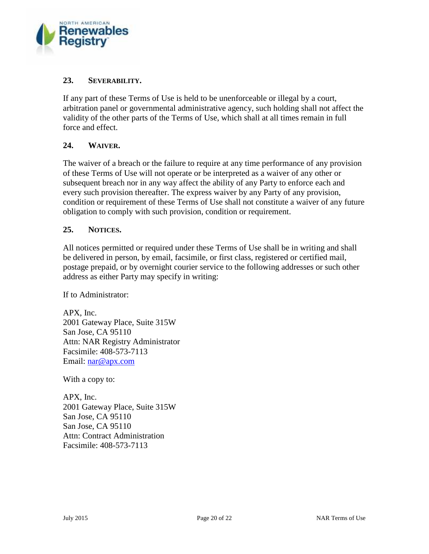

## **23. SEVERABILITY.**

If any part of these Terms of Use is held to be unenforceable or illegal by a court, arbitration panel or governmental administrative agency, such holding shall not affect the validity of the other parts of the Terms of Use, which shall at all times remain in full force and effect.

## **24. WAIVER.**

The waiver of a breach or the failure to require at any time performance of any provision of these Terms of Use will not operate or be interpreted as a waiver of any other or subsequent breach nor in any way affect the ability of any Party to enforce each and every such provision thereafter. The express waiver by any Party of any provision, condition or requirement of these Terms of Use shall not constitute a waiver of any future obligation to comply with such provision, condition or requirement.

#### **25. NOTICES.**

All notices permitted or required under these Terms of Use shall be in writing and shall be delivered in person, by email, facsimile, or first class, registered or certified mail, postage prepaid, or by overnight courier service to the following addresses or such other address as either Party may specify in writing:

If to Administrator:

APX, Inc. 2001 Gateway Place, Suite 315W San Jose, CA 95110 Attn: NAR Registry Administrator Facsimile: 408-573-7113 Email: nar@apx.com

With a copy to:

APX, Inc. 2001 Gateway Place, Suite 315W San Jose, CA 95110 San Jose, CA 95110 Attn: Contract Administration Facsimile: 408-573-7113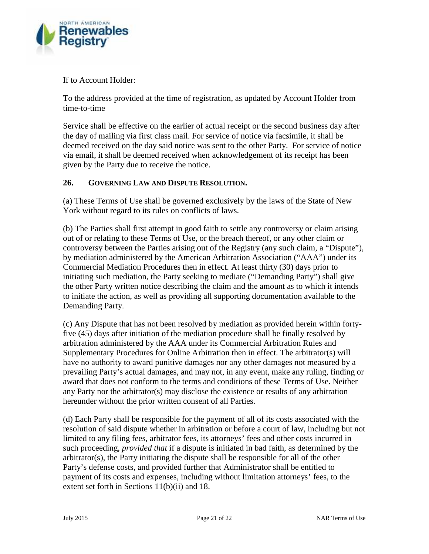

If to Account Holder:

To the address provided at the time of registration, as updated by Account Holder from time-to-time

Service shall be effective on the earlier of actual receipt or the second business day after the day of mailing via first class mail. For service of notice via facsimile, it shall be deemed received on the day said notice was sent to the other Party. For service of notice via email, it shall be deemed received when acknowledgement of its receipt has been given by the Party due to receive the notice.

# **26. GOVERNING LAW AND DISPUTE RESOLUTION.**

(a) These Terms of Use shall be governed exclusively by the laws of the State of New York without regard to its rules on conflicts of laws.

(b) The Parties shall first attempt in good faith to settle any controversy or claim arising out of or relating to these Terms of Use, or the breach thereof, or any other claim or controversy between the Parties arising out of the Registry (any such claim, a "Dispute"), by mediation administered by the American Arbitration Association ("AAA") under its Commercial Mediation Procedures then in effect. At least thirty (30) days prior to initiating such mediation, the Party seeking to mediate ("Demanding Party") shall give the other Party written notice describing the claim and the amount as to which it intends to initiate the action, as well as providing all supporting documentation available to the Demanding Party.

(c) Any Dispute that has not been resolved by mediation as provided herein within fortyfive (45) days after initiation of the mediation procedure shall be finally resolved by arbitration administered by the AAA under its Commercial Arbitration Rules and Supplementary Procedures for Online Arbitration then in effect. The arbitrator(s) will have no authority to award punitive damages nor any other damages not measured by a prevailing Party's actual damages, and may not, in any event, make any ruling, finding or award that does not conform to the terms and conditions of these Terms of Use. Neither any Party nor the arbitrator(s) may disclose the existence or results of any arbitration hereunder without the prior written consent of all Parties.

(d) Each Party shall be responsible for the payment of all of its costs associated with the resolution of said dispute whether in arbitration or before a court of law, including but not limited to any filing fees, arbitrator fees, its attorneys' fees and other costs incurred in such proceeding, *provided that* if a dispute is initiated in bad faith, as determined by the arbitrator(s), the Party initiating the dispute shall be responsible for all of the other Party's defense costs, and provided further that Administrator shall be entitled to payment of its costs and expenses, including without limitation attorneys' fees, to the extent set forth in Sections 11(b)(ii) and 18.